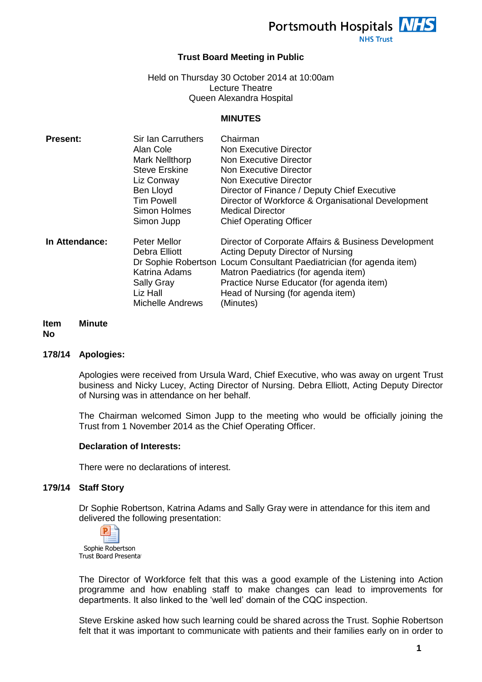Portsmouth Hospitals **NHS** 

**NHS Trust** 

# **Trust Board Meeting in Public**

Held on Thursday 30 October 2014 at 10:00am Lecture Theatre Queen Alexandra Hospital

#### **MINUTES**

| <b>Present:</b> | <b>Sir Ian Carruthers</b> | Chairman                                                             |
|-----------------|---------------------------|----------------------------------------------------------------------|
|                 | Alan Cole                 | Non Executive Director                                               |
|                 | Mark Nellthorp            | Non Executive Director                                               |
|                 | <b>Steve Erskine</b>      | Non Executive Director                                               |
|                 | Liz Conway                | Non Executive Director                                               |
|                 | Ben Lloyd                 | Director of Finance / Deputy Chief Executive                         |
|                 | <b>Tim Powell</b>         | Director of Workforce & Organisational Development                   |
|                 | Simon Holmes              | <b>Medical Director</b>                                              |
|                 | Simon Jupp                | <b>Chief Operating Officer</b>                                       |
| In Attendance:  | <b>Peter Mellor</b>       | Director of Corporate Affairs & Business Development                 |
|                 | Debra Elliott             | <b>Acting Deputy Director of Nursing</b>                             |
|                 |                           | Dr Sophie Robertson Locum Consultant Paediatrician (for agenda item) |
|                 | <b>Katrina Adams</b>      | Matron Paediatrics (for agenda item)                                 |
|                 | <b>Sally Gray</b>         | Practice Nurse Educator (for agenda item)                            |
|                 | Liz Hall                  | Head of Nursing (for agenda item)                                    |
|                 | <b>Michelle Andrews</b>   | (Minutes)                                                            |

#### **Item Minute**

# **No**

#### **178/14 Apologies:**

Apologies were received from Ursula Ward, Chief Executive, who was away on urgent Trust business and Nicky Lucey, Acting Director of Nursing. Debra Elliott, Acting Deputy Director of Nursing was in attendance on her behalf.

The Chairman welcomed Simon Jupp to the meeting who would be officially joining the Trust from 1 November 2014 as the Chief Operating Officer.

#### **Declaration of Interests:**

There were no declarations of interest.

#### **179/14 Staff Story**

Dr Sophie Robertson, Katrina Adams and Sally Gray were in attendance for this item and delivered the following presentation:



The Director of Workforce felt that this was a good example of the Listening into Action programme and how enabling staff to make changes can lead to improvements for departments. It also linked to the 'well led' domain of the CQC inspection.

Steve Erskine asked how such learning could be shared across the Trust. Sophie Robertson felt that it was important to communicate with patients and their families early on in order to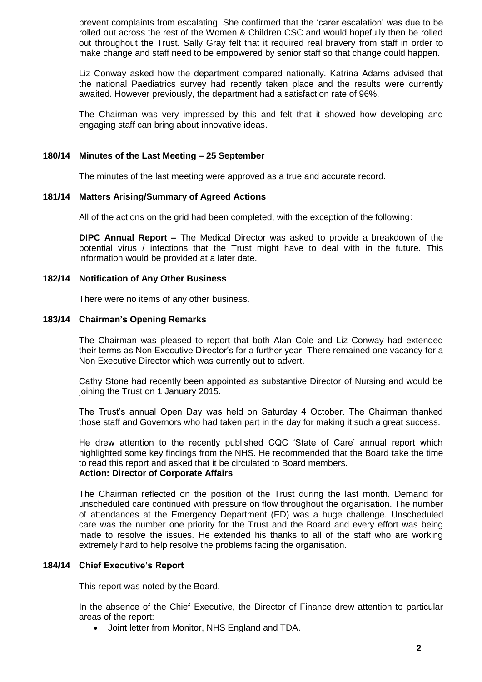prevent complaints from escalating. She confirmed that the 'carer escalation' was due to be rolled out across the rest of the Women & Children CSC and would hopefully then be rolled out throughout the Trust. Sally Gray felt that it required real bravery from staff in order to make change and staff need to be empowered by senior staff so that change could happen.

Liz Conway asked how the department compared nationally. Katrina Adams advised that the national Paediatrics survey had recently taken place and the results were currently awaited. However previously, the department had a satisfaction rate of 96%.

The Chairman was very impressed by this and felt that it showed how developing and engaging staff can bring about innovative ideas.

#### **180/14 Minutes of the Last Meeting – 25 September**

The minutes of the last meeting were approved as a true and accurate record.

#### **181/14 Matters Arising/Summary of Agreed Actions**

All of the actions on the grid had been completed, with the exception of the following:

**DIPC Annual Report –** The Medical Director was asked to provide a breakdown of the potential virus / infections that the Trust might have to deal with in the future. This information would be provided at a later date.

# **182/14 Notification of Any Other Business**

There were no items of any other business.

#### **183/14 Chairman's Opening Remarks**

The Chairman was pleased to report that both Alan Cole and Liz Conway had extended their terms as Non Executive Director's for a further year. There remained one vacancy for a Non Executive Director which was currently out to advert.

Cathy Stone had recently been appointed as substantive Director of Nursing and would be joining the Trust on 1 January 2015.

The Trust's annual Open Day was held on Saturday 4 October. The Chairman thanked those staff and Governors who had taken part in the day for making it such a great success.

He drew attention to the recently published CQC 'State of Care' annual report which highlighted some key findings from the NHS. He recommended that the Board take the time to read this report and asked that it be circulated to Board members. **Action: Director of Corporate Affairs**

The Chairman reflected on the position of the Trust during the last month. Demand for unscheduled care continued with pressure on flow throughout the organisation. The number of attendances at the Emergency Department (ED) was a huge challenge. Unscheduled care was the number one priority for the Trust and the Board and every effort was being made to resolve the issues. He extended his thanks to all of the staff who are working extremely hard to help resolve the problems facing the organisation.

## **184/14 Chief Executive's Report**

This report was noted by the Board.

In the absence of the Chief Executive, the Director of Finance drew attention to particular areas of the report:

Joint letter from Monitor, NHS England and TDA.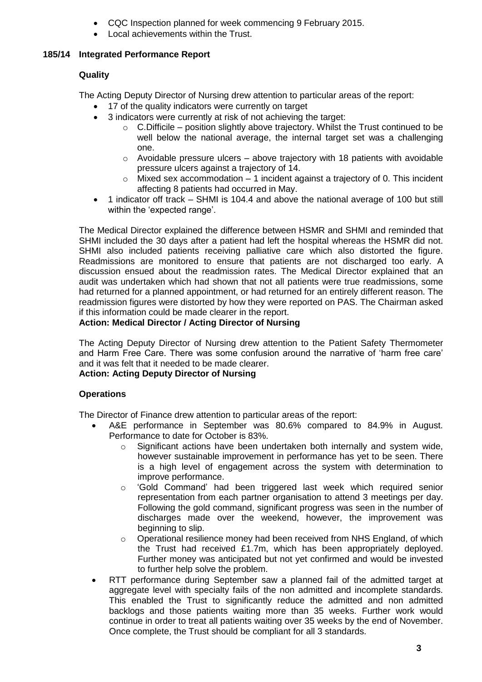- CQC Inspection planned for week commencing 9 February 2015.
- Local achievements within the Trust.

# **185/14 Integrated Performance Report**

# **Quality**

The Acting Deputy Director of Nursing drew attention to particular areas of the report:

- 17 of the quality indicators were currently on target
- 3 indicators were currently at risk of not achieving the target:
	- $\circ$  C. Difficile position slightly above trajectory. Whilst the Trust continued to be well below the national average, the internal target set was a challenging one.
	- $\circ$  Avoidable pressure ulcers above trajectory with 18 patients with avoidable pressure ulcers against a trajectory of 14.
	- $\circ$  Mixed sex accommodation 1 incident against a trajectory of 0. This incident affecting 8 patients had occurred in May.
- 1 indicator off track SHMI is 104.4 and above the national average of 100 but still within the 'expected range'.

The Medical Director explained the difference between HSMR and SHMI and reminded that SHMI included the 30 days after a patient had left the hospital whereas the HSMR did not. SHMI also included patients receiving palliative care which also distorted the figure. Readmissions are monitored to ensure that patients are not discharged too early. A discussion ensued about the readmission rates. The Medical Director explained that an audit was undertaken which had shown that not all patients were true readmissions, some had returned for a planned appointment, or had returned for an entirely different reason. The readmission figures were distorted by how they were reported on PAS. The Chairman asked if this information could be made clearer in the report.

# **Action: Medical Director / Acting Director of Nursing**

The Acting Deputy Director of Nursing drew attention to the Patient Safety Thermometer and Harm Free Care. There was some confusion around the narrative of 'harm free care' and it was felt that it needed to be made clearer.

# **Action: Acting Deputy Director of Nursing**

# **Operations**

The Director of Finance drew attention to particular areas of the report:

- A&E performance in September was 80.6% compared to 84.9% in August. Performance to date for October is 83%.
	- o Significant actions have been undertaken both internally and system wide, however sustainable improvement in performance has yet to be seen. There is a high level of engagement across the system with determination to improve performance.
	- o 'Gold Command' had been triggered last week which required senior representation from each partner organisation to attend 3 meetings per day. Following the gold command, significant progress was seen in the number of discharges made over the weekend, however, the improvement was beginning to slip.
	- $\circ$  Operational resilience money had been received from NHS England, of which the Trust had received £1.7m, which has been appropriately deployed. Further money was anticipated but not yet confirmed and would be invested to further help solve the problem.
- RTT performance during September saw a planned fail of the admitted target at aggregate level with specialty fails of the non admitted and incomplete standards. This enabled the Trust to significantly reduce the admitted and non admitted backlogs and those patients waiting more than 35 weeks. Further work would continue in order to treat all patients waiting over 35 weeks by the end of November. Once complete, the Trust should be compliant for all 3 standards.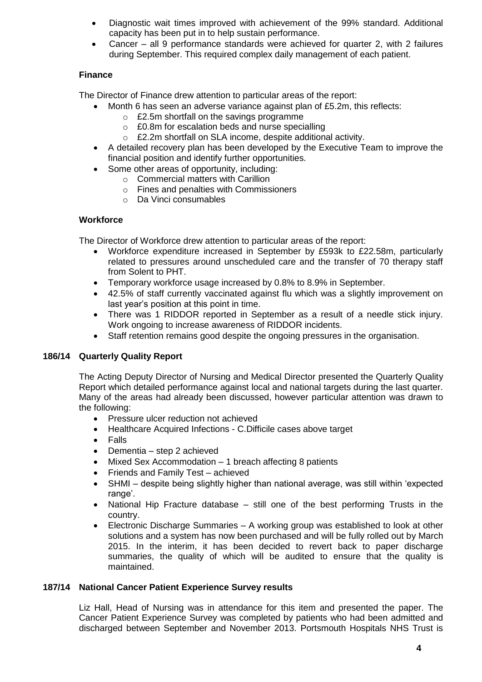- Diagnostic wait times improved with achievement of the 99% standard. Additional capacity has been put in to help sustain performance.
- Cancer all 9 performance standards were achieved for quarter 2, with 2 failures during September. This required complex daily management of each patient.

# **Finance**

The Director of Finance drew attention to particular areas of the report:

- Month 6 has seen an adverse variance against plan of £5.2m, this reflects:
	- o £2.5m shortfall on the savings programme
	- o £0.8m for escalation beds and nurse specialling
	- o £2.2m shortfall on SLA income, despite additional activity.
- A detailed recovery plan has been developed by the Executive Team to improve the financial position and identify further opportunities.
- Some other areas of opportunity, including:
	- o Commercial matters with Carillion
	- o Fines and penalties with Commissioners
	- o Da Vinci consumables

# **Workforce**

The Director of Workforce drew attention to particular areas of the report:

- Workforce expenditure increased in September by £593k to £22.58m, particularly related to pressures around unscheduled care and the transfer of 70 therapy staff from Solent to PHT.
- Temporary workforce usage increased by 0.8% to 8.9% in September.
- 42.5% of staff currently vaccinated against flu which was a slightly improvement on last year's position at this point in time.
- There was 1 RIDDOR reported in September as a result of a needle stick injury. Work ongoing to increase awareness of RIDDOR incidents.
- Staff retention remains good despite the ongoing pressures in the organisation.

# **186/14 Quarterly Quality Report**

The Acting Deputy Director of Nursing and Medical Director presented the Quarterly Quality Report which detailed performance against local and national targets during the last quarter. Many of the areas had already been discussed, however particular attention was drawn to the following:

- Pressure ulcer reduction not achieved
- Healthcare Acquired Infections C.Difficile cases above target
- Falls
- Dementia step 2 achieved
- Mixed Sex Accommodation 1 breach affecting 8 patients
- Friends and Family Test achieved
- SHMI despite being slightly higher than national average, was still within 'expected range'.
- National Hip Fracture database still one of the best performing Trusts in the country.
- Electronic Discharge Summaries A working group was established to look at other solutions and a system has now been purchased and will be fully rolled out by March 2015. In the interim, it has been decided to revert back to paper discharge summaries, the quality of which will be audited to ensure that the quality is maintained.

# **187/14 National Cancer Patient Experience Survey results**

Liz Hall, Head of Nursing was in attendance for this item and presented the paper. The Cancer Patient Experience Survey was completed by patients who had been admitted and discharged between September and November 2013. Portsmouth Hospitals NHS Trust is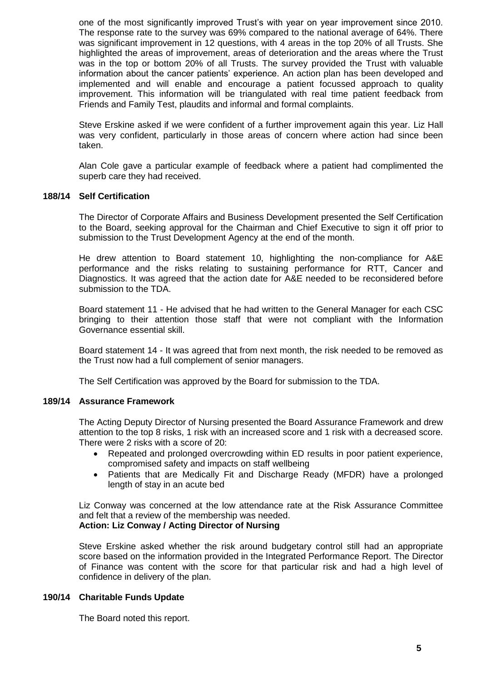one of the most significantly improved Trust's with year on year improvement since 2010. The response rate to the survey was 69% compared to the national average of 64%. There was significant improvement in 12 questions, with 4 areas in the top 20% of all Trusts. She highlighted the areas of improvement, areas of deterioration and the areas where the Trust was in the top or bottom 20% of all Trusts. The survey provided the Trust with valuable information about the cancer patients' experience. An action plan has been developed and implemented and will enable and encourage a patient focussed approach to quality improvement. This information will be triangulated with real time patient feedback from Friends and Family Test, plaudits and informal and formal complaints.

Steve Erskine asked if we were confident of a further improvement again this year. Liz Hall was very confident, particularly in those areas of concern where action had since been taken.

Alan Cole gave a particular example of feedback where a patient had complimented the superb care they had received.

#### **188/14 Self Certification**

The Director of Corporate Affairs and Business Development presented the Self Certification to the Board, seeking approval for the Chairman and Chief Executive to sign it off prior to submission to the Trust Development Agency at the end of the month.

He drew attention to Board statement 10, highlighting the non-compliance for A&E performance and the risks relating to sustaining performance for RTT, Cancer and Diagnostics. It was agreed that the action date for A&E needed to be reconsidered before submission to the TDA.

Board statement 11 - He advised that he had written to the General Manager for each CSC bringing to their attention those staff that were not compliant with the Information Governance essential skill.

Board statement 14 - It was agreed that from next month, the risk needed to be removed as the Trust now had a full complement of senior managers.

The Self Certification was approved by the Board for submission to the TDA.

# **189/14 Assurance Framework**

The Acting Deputy Director of Nursing presented the Board Assurance Framework and drew attention to the top 8 risks, 1 risk with an increased score and 1 risk with a decreased score. There were 2 risks with a score of 20:

- Repeated and prolonged overcrowding within ED results in poor patient experience, compromised safety and impacts on staff wellbeing
- Patients that are Medically Fit and Discharge Ready (MFDR) have a prolonged length of stay in an acute bed

Liz Conway was concerned at the low attendance rate at the Risk Assurance Committee and felt that a review of the membership was needed. **Action: Liz Conway / Acting Director of Nursing**

### Steve Erskine asked whether the risk around budgetary control still had an appropriate score based on the information provided in the Integrated Performance Report. The Director of Finance was content with the score for that particular risk and had a high level of confidence in delivery of the plan.

# **190/14 Charitable Funds Update**

The Board noted this report.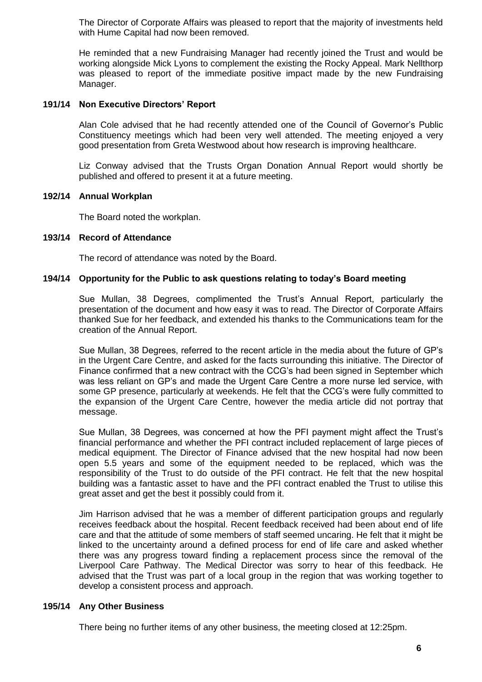The Director of Corporate Affairs was pleased to report that the majority of investments held with Hume Capital had now been removed.

He reminded that a new Fundraising Manager had recently joined the Trust and would be working alongside Mick Lyons to complement the existing the Rocky Appeal. Mark Nellthorp was pleased to report of the immediate positive impact made by the new Fundraising Manager.

### **191/14 Non Executive Directors' Report**

Alan Cole advised that he had recently attended one of the Council of Governor's Public Constituency meetings which had been very well attended. The meeting enjoyed a very good presentation from Greta Westwood about how research is improving healthcare.

Liz Conway advised that the Trusts Organ Donation Annual Report would shortly be published and offered to present it at a future meeting.

#### **192/14 Annual Workplan**

The Board noted the workplan.

#### **193/14 Record of Attendance**

The record of attendance was noted by the Board.

#### **194/14 Opportunity for the Public to ask questions relating to today's Board meeting**

Sue Mullan, 38 Degrees, complimented the Trust's Annual Report, particularly the presentation of the document and how easy it was to read. The Director of Corporate Affairs thanked Sue for her feedback, and extended his thanks to the Communications team for the creation of the Annual Report.

Sue Mullan, 38 Degrees, referred to the recent article in the media about the future of GP's in the Urgent Care Centre, and asked for the facts surrounding this initiative. The Director of Finance confirmed that a new contract with the CCG's had been signed in September which was less reliant on GP's and made the Urgent Care Centre a more nurse led service, with some GP presence, particularly at weekends. He felt that the CCG's were fully committed to the expansion of the Urgent Care Centre, however the media article did not portray that message.

Sue Mullan, 38 Degrees, was concerned at how the PFI payment might affect the Trust's financial performance and whether the PFI contract included replacement of large pieces of medical equipment. The Director of Finance advised that the new hospital had now been open 5.5 years and some of the equipment needed to be replaced, which was the responsibility of the Trust to do outside of the PFI contract. He felt that the new hospital building was a fantastic asset to have and the PFI contract enabled the Trust to utilise this great asset and get the best it possibly could from it.

Jim Harrison advised that he was a member of different participation groups and regularly receives feedback about the hospital. Recent feedback received had been about end of life care and that the attitude of some members of staff seemed uncaring. He felt that it might be linked to the uncertainty around a defined process for end of life care and asked whether there was any progress toward finding a replacement process since the removal of the Liverpool Care Pathway. The Medical Director was sorry to hear of this feedback. He advised that the Trust was part of a local group in the region that was working together to develop a consistent process and approach.

#### **195/14 Any Other Business**

There being no further items of any other business, the meeting closed at 12:25pm.